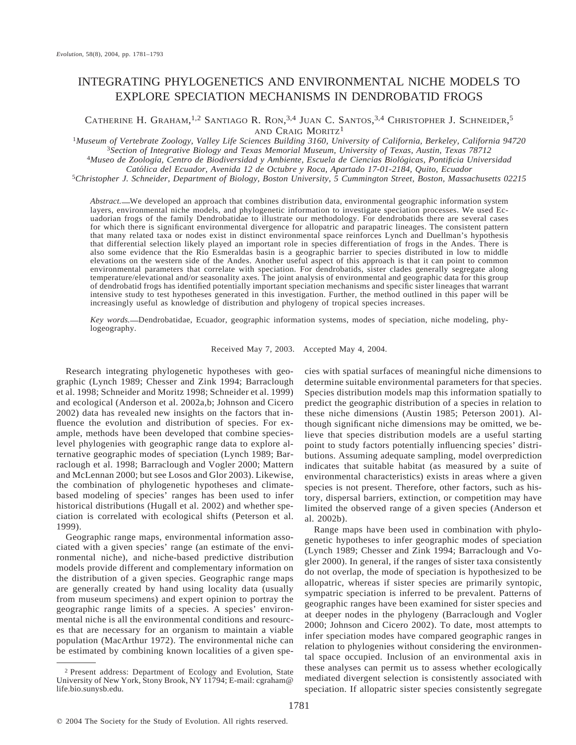# INTEGRATING PHYLOGENETICS AND ENVIRONMENTAL NICHE MODELS TO EXPLORE SPECIATION MECHANISMS IN DENDROBATID FROGS

CATHERINE H. GRAHAM,<sup>1,2</sup> SANTIAGO R. RON,<sup>3,4</sup> JUAN C. SANTOS,<sup>3,4</sup> CHRISTOPHER J. SCHNEIDER,<sup>5</sup> AND CRAIG MORITZ<sup>1</sup><br>Museum of Vertebrate Zoology, Valley Life Sciences Building 3160, University of California, Berkeley, California 94720<sup>1</sup>

<sup>3</sup>Section of Integrative Biology and Texas Memorial Museum, University of Texas, Austin, Texas 78712<br>4Museo de Zoología, Centro de Biodiversidad y Ambiente, Escuela de Ciencias Biológicas, Pontificia Universidad<br>Católica

*Cato´lica del Ecuador, Avenida 12 de Octubre y Roca, Apartado 17-01-2184, Quito, Ecuador* <sup>5</sup>*Christopher J. Schneider, Department of Biology, Boston University, 5 Cummington Street, Boston, Massachusetts 02215*

*Abstract.* We developed an approach that combines distribution data, environmental geographic information system layers, environmental niche models, and phylogenetic information to investigate speciation processes. We used Ecuadorian frogs of the family Dendrobatidae to illustrate our methodology. For dendrobatids there are several cases for which there is significant environmental divergence for allopatric and parapatric lineages. The consistent pattern that many related taxa or nodes exist in distinct environmental space reinforces Lynch and Duellman's hypothesis that differential selection likely played an important role in species differentiation of frogs in the Andes. There is also some evidence that the Río Esmeraldas basin is a geographic barrier to species distributed in low to middle elevations on the western side of the Andes. Another useful aspect of this approach is that it can point to common environmental parameters that correlate with speciation. For dendrobatids, sister clades generally segregate along temperature/elevational and/or seasonality axes. The joint analysis of environmental and geographic data for this group of dendrobatid frogs has identified potentially important speciation mechanisms and specific sister lineages that warrant intensive study to test hypotheses generated in this investigation. Further, the method outlined in this paper will be increasingly useful as knowledge of distribution and phylogeny of tropical species increases.

*Key words.* Dendrobatidae, Ecuador, geographic information systems, modes of speciation, niche modeling, phylogeography.

Received May 7, 2003. Accepted May 4, 2004.

Research integrating phylogenetic hypotheses with geographic (Lynch 1989; Chesser and Zink 1994; Barraclough et al. 1998; Schneider and Moritz 1998; Schneider et al. 1999) and ecological (Anderson et al. 2002a,b; Johnson and Cicero 2002) data has revealed new insights on the factors that influence the evolution and distribution of species. For example, methods have been developed that combine specieslevel phylogenies with geographic range data to explore alternative geographic modes of speciation (Lynch 1989; Barraclough et al. 1998; Barraclough and Vogler 2000; Mattern and McLennan 2000; but see Losos and Glor 2003). Likewise, the combination of phylogenetic hypotheses and climatebased modeling of species' ranges has been used to infer historical distributions (Hugall et al. 2002) and whether speciation is correlated with ecological shifts (Peterson et al. 1999).

Geographic range maps, environmental information associated with a given species' range (an estimate of the environmental niche), and niche-based predictive distribution models provide different and complementary information on the distribution of a given species. Geographic range maps are generally created by hand using locality data (usually from museum specimens) and expert opinion to portray the geographic range limits of a species. A species' environmental niche is all the environmental conditions and resources that are necessary for an organism to maintain a viable population (MacArthur 1972). The environmental niche can be estimated by combining known localities of a given species with spatial surfaces of meaningful niche dimensions to determine suitable environmental parameters for that species. Species distribution models map this information spatially to predict the geographic distribution of a species in relation to these niche dimensions (Austin 1985; Peterson 2001). Although significant niche dimensions may be omitted, we believe that species distribution models are a useful starting point to study factors potentially influencing species' distributions. Assuming adequate sampling, model overprediction indicates that suitable habitat (as measured by a suite of environmental characteristics) exists in areas where a given species is not present. Therefore, other factors, such as history, dispersal barriers, extinction, or competition may have limited the observed range of a given species (Anderson et al. 2002b).

Range maps have been used in combination with phylogenetic hypotheses to infer geographic modes of speciation (Lynch 1989; Chesser and Zink 1994; Barraclough and Vogler 2000). In general, if the ranges of sister taxa consistently do not overlap, the mode of speciation is hypothesized to be allopatric, whereas if sister species are primarily syntopic, sympatric speciation is inferred to be prevalent. Patterns of geographic ranges have been examined for sister species and at deeper nodes in the phylogeny (Barraclough and Vogler 2000; Johnson and Cicero 2002). To date, most attempts to infer speciation modes have compared geographic ranges in relation to phylogenies without considering the environmental space occupied. Inclusion of an environmental axis in these analyses can permit us to assess whether ecologically mediated divergent selection is consistently associated with speciation. If allopatric sister species consistently segregate

<sup>2</sup> Present address: Department of Ecology and Evolution, State University of New York, Stony Brook, NY 11794; E-mail: cgraham@ life.bio.sunysb.edu.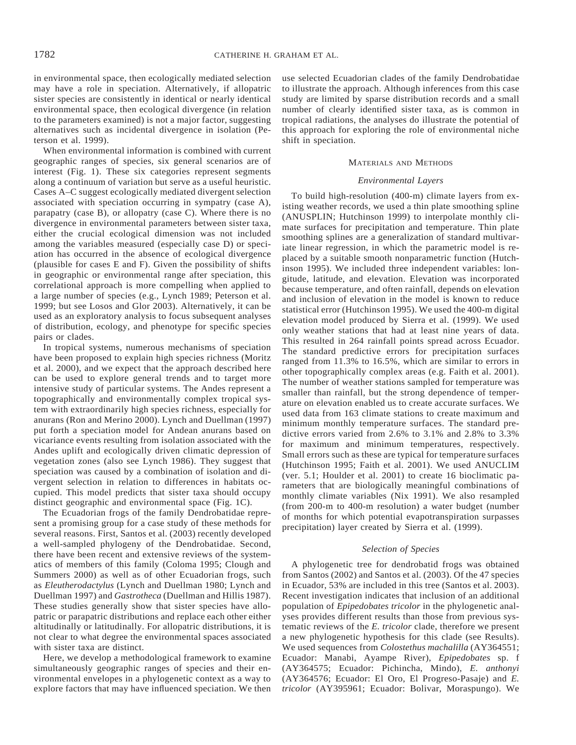in environmental space, then ecologically mediated selection may have a role in speciation. Alternatively, if allopatric sister species are consistently in identical or nearly identical environmental space, then ecological divergence (in relation to the parameters examined) is not a major factor, suggesting alternatives such as incidental divergence in isolation (Peterson et al. 1999).

When environmental information is combined with current geographic ranges of species, six general scenarios are of interest (Fig. 1). These six categories represent segments along a continuum of variation but serve as a useful heuristic. Cases A–C suggest ecologically mediated divergent selection associated with speciation occurring in sympatry (case A), parapatry (case B), or allopatry (case C). Where there is no divergence in environmental parameters between sister taxa, either the crucial ecological dimension was not included among the variables measured (especially case D) or speciation has occurred in the absence of ecological divergence (plausible for cases E and F). Given the possibility of shifts in geographic or environmental range after speciation, this correlational approach is more compelling when applied to a large number of species (e.g., Lynch 1989; Peterson et al. 1999; but see Losos and Glor 2003). Alternatively, it can be used as an exploratory analysis to focus subsequent analyses of distribution, ecology, and phenotype for specific species pairs or clades.

In tropical systems, numerous mechanisms of speciation have been proposed to explain high species richness (Moritz et al. 2000), and we expect that the approach described here can be used to explore general trends and to target more intensive study of particular systems. The Andes represent a topographically and environmentally complex tropical system with extraordinarily high species richness, especially for anurans (Ron and Merino 2000). Lynch and Duellman (1997) put forth a speciation model for Andean anurans based on vicariance events resulting from isolation associated with the Andes uplift and ecologically driven climatic depression of vegetation zones (also see Lynch 1986). They suggest that speciation was caused by a combination of isolation and divergent selection in relation to differences in habitats occupied. This model predicts that sister taxa should occupy distinct geographic and environmental space (Fig. 1C).

The Ecuadorian frogs of the family Dendrobatidae represent a promising group for a case study of these methods for several reasons. First, Santos et al. (2003) recently developed a well-sampled phylogeny of the Dendrobatidae. Second, there have been recent and extensive reviews of the systematics of members of this family (Coloma 1995; Clough and Summers 2000) as well as of other Ecuadorian frogs, such as *Eleutherodactylus* (Lynch and Duellman 1980; Lynch and Duellman 1997) and *Gastrotheca* (Duellman and Hillis 1987). These studies generally show that sister species have allopatric or parapatric distributions and replace each other either altitudinally or latitudinally. For allopatric distributions, it is not clear to what degree the environmental spaces associated with sister taxa are distinct.

Here, we develop a methodological framework to examine simultaneously geographic ranges of species and their environmental envelopes in a phylogenetic context as a way to explore factors that may have influenced speciation. We then use selected Ecuadorian clades of the family Dendrobatidae to illustrate the approach. Although inferences from this case study are limited by sparse distribution records and a small number of clearly identified sister taxa, as is common in tropical radiations, the analyses do illustrate the potential of this approach for exploring the role of environmental niche shift in speciation.

#### MATERIALS AND METHODS

#### *Environmental Layers*

To build high-resolution (400-m) climate layers from existing weather records, we used a thin plate smoothing spline (ANUSPLIN; Hutchinson 1999) to interpolate monthly climate surfaces for precipitation and temperature. Thin plate smoothing splines are a generalization of standard multivariate linear regression, in which the parametric model is replaced by a suitable smooth nonparametric function (Hutchinson 1995). We included three independent variables: longitude, latitude, and elevation. Elevation was incorporated because temperature, and often rainfall, depends on elevation and inclusion of elevation in the model is known to reduce statistical error (Hutchinson 1995). We used the 400-m digital elevation model produced by Sierra et al. (1999). We used only weather stations that had at least nine years of data. This resulted in 264 rainfall points spread across Ecuador. The standard predictive errors for precipitation surfaces ranged from 11.3% to 16.5%, which are similar to errors in other topographically complex areas (e.g. Faith et al. 2001). The number of weather stations sampled for temperature was smaller than rainfall, but the strong dependence of temperature on elevation enabled us to create accurate surfaces. We used data from 163 climate stations to create maximum and minimum monthly temperature surfaces. The standard predictive errors varied from 2.6% to 3.1% and 2.8% to 3.3% for maximum and minimum temperatures, respectively. Small errors such as these are typical for temperature surfaces (Hutchinson 1995; Faith et al. 2001). We used ANUCLIM (ver. 5.1; Houlder et al. 2001) to create 16 bioclimatic parameters that are biologically meaningful combinations of monthly climate variables (Nix 1991). We also resampled (from 200-m to 400-m resolution) a water budget (number of months for which potential evapotranspiration surpasses precipitation) layer created by Sierra et al. (1999).

## *Selection of Species*

A phylogenetic tree for dendrobatid frogs was obtained from Santos (2002) and Santos et al. (2003). Of the 47 species in Ecuador, 53% are included in this tree (Santos et al. 2003). Recent investigation indicates that inclusion of an additional population of *Epipedobates tricolor* in the phylogenetic analyses provides different results than those from previous systematic reviews of the *E. tricolor* clade, therefore we present a new phylogenetic hypothesis for this clade (see Results). We used sequences from *Colostethus machalilla* (AY364551; Ecuador: Manabi, Ayampe River), *Epipedobates* sp. f (AY364575; Ecuador: Pichincha, Mindo), *E. anthonyi* (AY364576; Ecuador: El Oro, El Progreso-Pasaje) and *E. tricolor* (AY395961; Ecuador: Bolivar, Moraspungo). We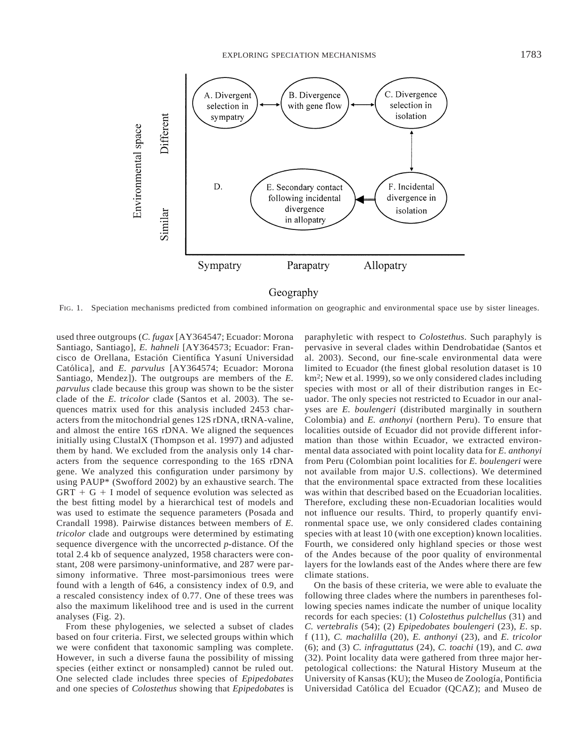

Geography

FIG. 1. Speciation mechanisms predicted from combined information on geographic and environmental space use by sister lineages.

Parapatry

used three outgroups (*C. fugax* [AY364547; Ecuador: Morona Santiago, Santiago], *E. hahneli* [AY364573; Ecuador: Francisco de Orellana, Estación Científica Yasuní Universidad Católica], and *E. parvulus* [AY364574; Ecuador: Morona Santiago, Mendez]). The outgroups are members of the *E. parvulus* clade because this group was shown to be the sister clade of the *E. tricolor* clade (Santos et al. 2003). The sequences matrix used for this analysis included 2453 characters from the mitochondrial genes 12S rDNA, tRNA-valine, and almost the entire 16S rDNA. We aligned the sequences initially using ClustalX (Thompson et al. 1997) and adjusted them by hand. We excluded from the analysis only 14 characters from the sequence corresponding to the 16S rDNA gene. We analyzed this configuration under parsimony by using PAUP\* (Swofford 2002) by an exhaustive search. The  $GRT + G + I$  model of sequence evolution was selected as the best fitting model by a hierarchical test of models and was used to estimate the sequence parameters (Posada and Crandall 1998). Pairwise distances between members of *E. tricolor* clade and outgroups were determined by estimating sequence divergence with the uncorrected *p*-distance. Of the total 2.4 kb of sequence analyzed, 1958 characters were constant, 208 were parsimony-uninformative, and 287 were parsimony informative. Three most-parsimonious trees were found with a length of 646, a consistency index of 0.9, and a rescaled consistency index of 0.77. One of these trees was also the maximum likelihood tree and is used in the current analyses (Fig. 2).

**Different** 

Similar

Sympatry

Environmental space

From these phylogenies, we selected a subset of clades based on four criteria. First, we selected groups within which we were confident that taxonomic sampling was complete. However, in such a diverse fauna the possibility of missing species (either extinct or nonsampled) cannot be ruled out. One selected clade includes three species of *Epipedobates* and one species of *Colostethus* showing that *Epipedobates* is

paraphyletic with respect to *Colostethus*. Such paraphyly is pervasive in several clades within Dendrobatidae (Santos et al. 2003). Second, our fine-scale environmental data were limited to Ecuador (the finest global resolution dataset is 10 km2; New et al. 1999), so we only considered clades including species with most or all of their distribution ranges in Ecuador. The only species not restricted to Ecuador in our analyses are *E. boulengeri* (distributed marginally in southern Colombia) and *E. anthonyi* (northern Peru). To ensure that localities outside of Ecuador did not provide different information than those within Ecuador, we extracted environmental data associated with point locality data for *E. anthonyi* from Peru (Colombian point localities for *E. boulengeri* were not available from major U.S. collections). We determined that the environmental space extracted from these localities was within that described based on the Ecuadorian localities. Therefore, excluding these non-Ecuadorian localities would not influence our results. Third, to properly quantify environmental space use, we only considered clades containing species with at least 10 (with one exception) known localities. Fourth, we considered only highland species or those west of the Andes because of the poor quality of environmental layers for the lowlands east of the Andes where there are few climate stations.

Allopatry

On the basis of these criteria, we were able to evaluate the following three clades where the numbers in parentheses following species names indicate the number of unique locality records for each species: (1) *Colostethus pulchellus* (31) and *C. vertebralis* (54); (2) *Epipedobates boulengeri* (23), *E*. sp. f (11), *C. machalilla* (20), *E. anthonyi* (23), and *E. tricolor* (6); and (3) *C. infraguttatus* (24), *C. toachi* (19), and *C. awa* (32). Point locality data were gathered from three major herpetological collections: the Natural History Museum at the University of Kansas (KU); the Museo de Zoología, Pontificia Universidad Católica del Ecuador (QCAZ); and Museo de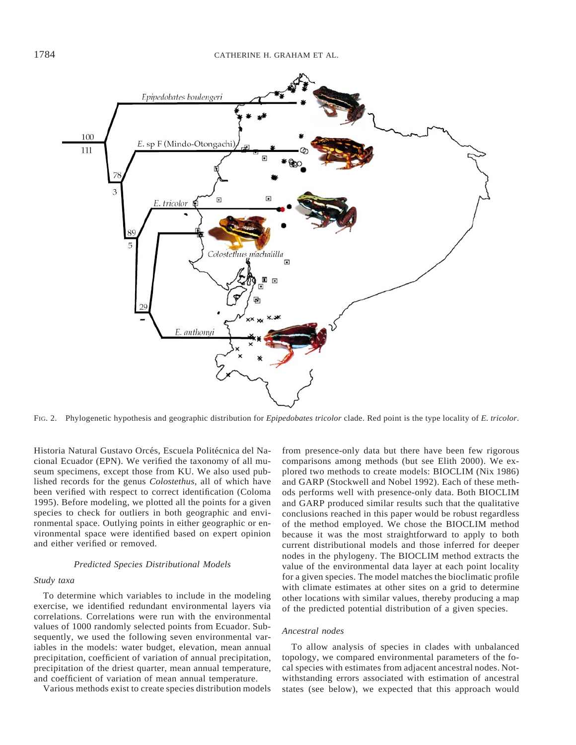

FIG. 2. Phylogenetic hypothesis and geographic distribution for *Epipedobates tricolor* clade. Red point is the type locality of *E. tricolor*.

Historia Natural Gustavo Orcés, Escuela Politécnica del Nacional Ecuador (EPN). We verified the taxonomy of all museum specimens, except those from KU. We also used published records for the genus *Colostethus*, all of which have been verified with respect to correct identification (Coloma 1995). Before modeling, we plotted all the points for a given species to check for outliers in both geographic and environmental space. Outlying points in either geographic or environmental space were identified based on expert opinion and either verified or removed.

## *Predicted Species Distributional Models*

## *Study taxa*

To determine which variables to include in the modeling exercise, we identified redundant environmental layers via correlations. Correlations were run with the environmental values of 1000 randomly selected points from Ecuador. Subsequently, we used the following seven environmental variables in the models: water budget, elevation, mean annual precipitation, coefficient of variation of annual precipitation, precipitation of the driest quarter, mean annual temperature, and coefficient of variation of mean annual temperature.

Various methods exist to create species distribution models

from presence-only data but there have been few rigorous comparisons among methods (but see Elith 2000). We explored two methods to create models: BIOCLIM (Nix 1986) and GARP (Stockwell and Nobel 1992). Each of these methods performs well with presence-only data. Both BIOCLIM and GARP produced similar results such that the qualitative conclusions reached in this paper would be robust regardless of the method employed. We chose the BIOCLIM method because it was the most straightforward to apply to both current distributional models and those inferred for deeper nodes in the phylogeny. The BIOCLIM method extracts the value of the environmental data layer at each point locality for a given species. The model matches the bioclimatic profile with climate estimates at other sites on a grid to determine other locations with similar values, thereby producing a map of the predicted potential distribution of a given species.

## *Ancestral nodes*

To allow analysis of species in clades with unbalanced topology, we compared environmental parameters of the focal species with estimates from adjacent ancestral nodes. Notwithstanding errors associated with estimation of ancestral states (see below), we expected that this approach would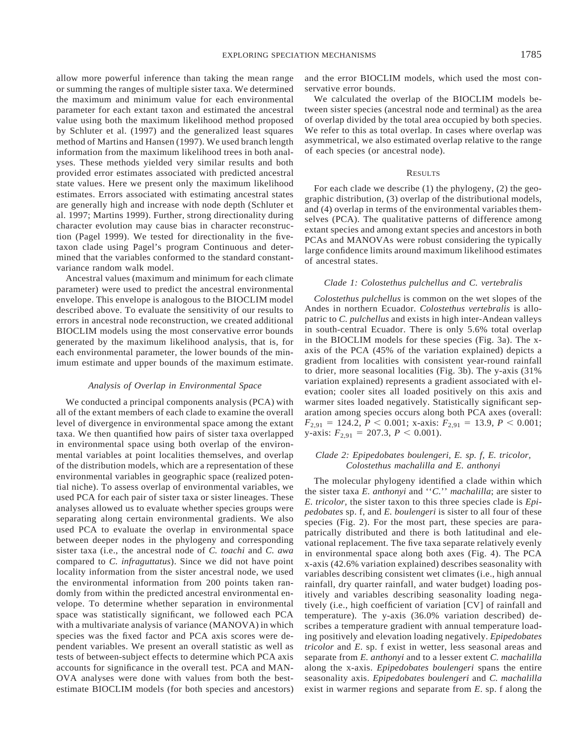allow more powerful inference than taking the mean range or summing the ranges of multiple sister taxa. We determined the maximum and minimum value for each environmental parameter for each extant taxon and estimated the ancestral value using both the maximum likelihood method proposed by Schluter et al. (1997) and the generalized least squares method of Martins and Hansen (1997). We used branch length information from the maximum likelihood trees in both analyses. These methods yielded very similar results and both provided error estimates associated with predicted ancestral state values. Here we present only the maximum likelihood estimates. Errors associated with estimating ancestral states are generally high and increase with node depth (Schluter et al. 1997; Martins 1999). Further, strong directionality during character evolution may cause bias in character reconstruction (Pagel 1999). We tested for directionality in the fivetaxon clade using Pagel's program Continuous and determined that the variables conformed to the standard constantvariance random walk model.

Ancestral values (maximum and minimum for each climate parameter) were used to predict the ancestral environmental envelope. This envelope is analogous to the BIOCLIM model described above. To evaluate the sensitivity of our results to errors in ancestral node reconstruction, we created additional BIOCLIM models using the most conservative error bounds generated by the maximum likelihood analysis, that is, for each environmental parameter, the lower bounds of the minimum estimate and upper bounds of the maximum estimate.

#### *Analysis of Overlap in Environmental Space*

We conducted a principal components analysis (PCA) with all of the extant members of each clade to examine the overall level of divergence in environmental space among the extant taxa. We then quantified how pairs of sister taxa overlapped in environmental space using both overlap of the environmental variables at point localities themselves, and overlap of the distribution models, which are a representation of these environmental variables in geographic space (realized potential niche). To assess overlap of environmental variables, we used PCA for each pair of sister taxa or sister lineages. These analyses allowed us to evaluate whether species groups were separating along certain environmental gradients. We also used PCA to evaluate the overlap in environmental space between deeper nodes in the phylogeny and corresponding sister taxa (i.e., the ancestral node of *C. toachi* and *C. awa* compared to *C. infraguttatus*). Since we did not have point locality information from the sister ancestral node, we used the environmental information from 200 points taken randomly from within the predicted ancestral environmental envelope. To determine whether separation in environmental space was statistically significant, we followed each PCA with a multivariate analysis of variance (MANOVA) in which species was the fixed factor and PCA axis scores were dependent variables. We present an overall statistic as well as tests of between-subject effects to determine which PCA axis accounts for significance in the overall test. PCA and MAN-OVA analyses were done with values from both the bestestimate BIOCLIM models (for both species and ancestors) and the error BIOCLIM models, which used the most conservative error bounds.

We calculated the overlap of the BIOCLIM models between sister species (ancestral node and terminal) as the area of overlap divided by the total area occupied by both species. We refer to this as total overlap. In cases where overlap was asymmetrical, we also estimated overlap relative to the range of each species (or ancestral node).

#### RESULTS

For each clade we describe (1) the phylogeny, (2) the geographic distribution, (3) overlap of the distributional models, and (4) overlap in terms of the environmental variables themselves (PCA). The qualitative patterns of difference among extant species and among extant species and ancestors in both PCAs and MANOVAs were robust considering the typically large confidence limits around maximum likelihood estimates of ancestral states.

#### *Clade 1: Colostethus pulchellus and C. vertebralis*

*Colostethus pulchellus* is common on the wet slopes of the Andes in northern Ecuador. *Colostethus vertebralis* is allopatric to *C. pulchellus* and exists in high inter-Andean valleys in south-central Ecuador. There is only 5.6% total overlap in the BIOCLIM models for these species (Fig. 3a). The xaxis of the PCA (45% of the variation explained) depicts a gradient from localities with consistent year-round rainfall to drier, more seasonal localities (Fig. 3b). The y-axis (31% variation explained) represents a gradient associated with elevation; cooler sites all loaded positively on this axis and warmer sites loaded negatively. Statistically significant separation among species occurs along both PCA axes (overall:  $F_{2,91} = 124.2, P < 0.001$ ; x-axis:  $F_{2,91} = 13.9, P < 0.001$ ;  $y$ -axis:  $F_{2,91} = 207.3, P \le 0.001$ ).

## *Clade 2: Epipedobates boulengeri, E. sp. f, E. tricolor, Colostethus machalilla and E. anthonyi*

The molecular phylogeny identified a clade within which the sister taxa *E. anthonyi* and ''*C*.'' *machalilla*; are sister to *E. tricolor*, the sister taxon to this three species clade is *Epipedobates* sp. f, and *E. boulengeri* is sister to all four of these species (Fig. 2). For the most part, these species are parapatrically distributed and there is both latitudinal and elevational replacement. The five taxa separate relatively evenly in environmental space along both axes (Fig. 4). The PCA x-axis (42.6% variation explained) describes seasonality with variables describing consistent wet climates (i.e., high annual rainfall, dry quarter rainfall, and water budget) loading positively and variables describing seasonality loading negatively (i.e., high coefficient of variation [CV] of rainfall and temperature). The y-axis (36.0% variation described) describes a temperature gradient with annual temperature loading positively and elevation loading negatively. *Epipedobates tricolor* and *E*. sp. f exist in wetter, less seasonal areas and separate from *E. anthonyi* and to a lesser extent *C. machalilla* along the x-axis. *Epipedobates boulengeri* spans the entire seasonality axis. *Epipedobates boulengeri* and *C. machalilla* exist in warmer regions and separate from *E*. sp. f along the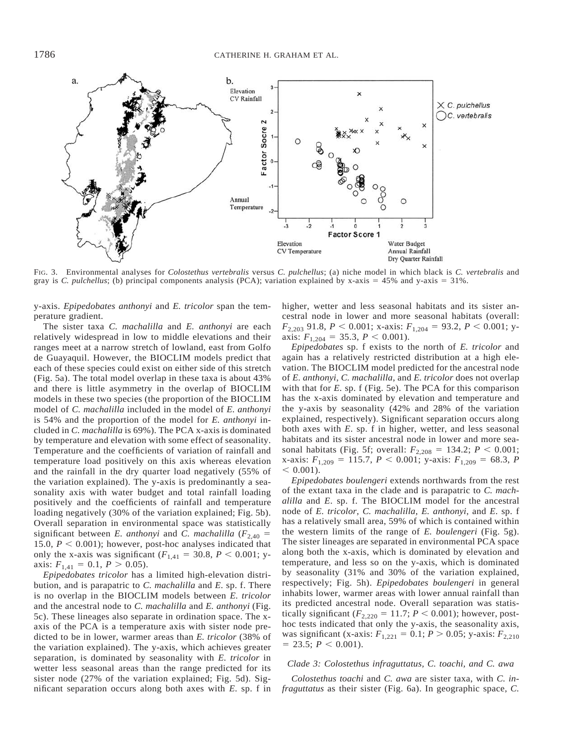

FIG. 3. Environmental analyses for *Colostethus vertebralis* versus *C. pulchellus*; (a) niche model in which black is *C. vertebralis* and gray is *C. pulchellus*; (b) principal components analysis (PCA); variation explained by x-axis =  $45\%$  and y-axis =  $31\%$ .

y-axis. *Epipedobates anthonyi* and *E. tricolor* span the temperature gradient.

The sister taxa *C. machalilla* and *E. anthonyi* are each relatively widespread in low to middle elevations and their ranges meet at a narrow stretch of lowland, east from Golfo de Guayaquil. However, the BIOCLIM models predict that each of these species could exist on either side of this stretch (Fig. 5a). The total model overlap in these taxa is about 43% and there is little asymmetry in the overlap of BIOCLIM models in these two species (the proportion of the BIOCLIM model of *C. machalilla* included in the model of *E. anthonyi* is 54% and the proportion of the model for *E. anthonyi* included in *C. machalilla* is 69%). The PCA x-axis is dominated by temperature and elevation with some effect of seasonality. Temperature and the coefficients of variation of rainfall and temperature load positively on this axis whereas elevation and the rainfall in the dry quarter load negatively (55% of the variation explained). The y-axis is predominantly a seasonality axis with water budget and total rainfall loading positively and the coefficients of rainfall and temperature loading negatively (30% of the variation explained; Fig. 5b). Overall separation in environmental space was statistically significant between *E. anthonyi* and *C. machalilla* ( $F_{2,40}$  = 15.0,  $P < 0.001$ ); however, post-hoc analyses indicated that only the x-axis was significant ( $F_{1,41} = 30.8, P < 0.001$ ; yaxis:  $F_{1,41} = 0.1, P > 0.05$ ).

*Epipedobates tricolor* has a limited high-elevation distribution, and is parapatric to *C. machalilla* and *E*. sp. f. There is no overlap in the BIOCLIM models between *E. tricolor* and the ancestral node to *C. machalilla* and *E. anthonyi* (Fig. 5c). These lineages also separate in ordination space. The xaxis of the PCA is a temperature axis with sister node predicted to be in lower, warmer areas than *E. tricolor* (38% of the variation explained). The y-axis, which achieves greater separation, is dominated by seasonality with *E. tricolor* in wetter less seasonal areas than the range predicted for its sister node (27% of the variation explained; Fig. 5d). Significant separation occurs along both axes with *E*. sp. f in higher, wetter and less seasonal habitats and its sister ancestral node in lower and more seasonal habitats (overall:  $F_{2,203}$  91.8,  $P < 0.001$ ; x-axis:  $F_{1,204} = 93.2$ ,  $P < 0.001$ ; yaxis:  $F_{1,204} = 35.3, P \le 0.001$ .

*Epipedobates* sp. f exists to the north of *E. tricolor* and again has a relatively restricted distribution at a high elevation. The BIOCLIM model predicted for the ancestral node of *E. anthonyi*, *C. machalilla*, and *E. tricolor* does not overlap with that for *E*. sp. f (Fig. 5e). The PCA for this comparison has the x-axis dominated by elevation and temperature and the y-axis by seasonality (42% and 28% of the variation explained, respectively). Significant separation occurs along both axes with *E*. sp. f in higher, wetter, and less seasonal habitats and its sister ancestral node in lower and more seasonal habitats (Fig. 5f; overall:  $F_{2,208} = 134.2; P < 0.001;$  $x$ -axis:  $F_{1,209} = 115.7$ ,  $P < 0.001$ ;  $y$ -axis:  $F_{1,209} = 68.3$ ,  $P$  $< 0.001$ ).

*Epipedobates boulengeri* extends northwards from the rest of the extant taxa in the clade and is parapatric to *C. machalilla* and *E*. sp. f. The BIOCLIM model for the ancestral node of *E. tricolor*, *C. machalilla*, *E. anthonyi*, and *E*. sp. f has a relatively small area, 59% of which is contained within the western limits of the range of *E. boulengeri* (Fig. 5g). The sister lineages are separated in environmental PCA space along both the x-axis, which is dominated by elevation and temperature, and less so on the y-axis, which is dominated by seasonality (31% and 30% of the variation explained, respectively; Fig. 5h). *Epipedobates boulengeri* in general inhabits lower, warmer areas with lower annual rainfall than its predicted ancestral node. Overall separation was statistically significant ( $F_{2,220} = 11.7$ ;  $P < 0.001$ ); however, posthoc tests indicated that only the y-axis, the seasonality axis, was significant (x-axis:  $F_{1,221} = 0.1; P > 0.05; y-axis: F_{2,210}$  $= 23.5; P < 0.001$ ).

## *Clade 3: Colostethus infraguttatus, C. toachi, and C. awa*

*Colostethus toachi* and *C. awa* are sister taxa, with *C. infraguttatus* as their sister (Fig. 6a). In geographic space, *C.*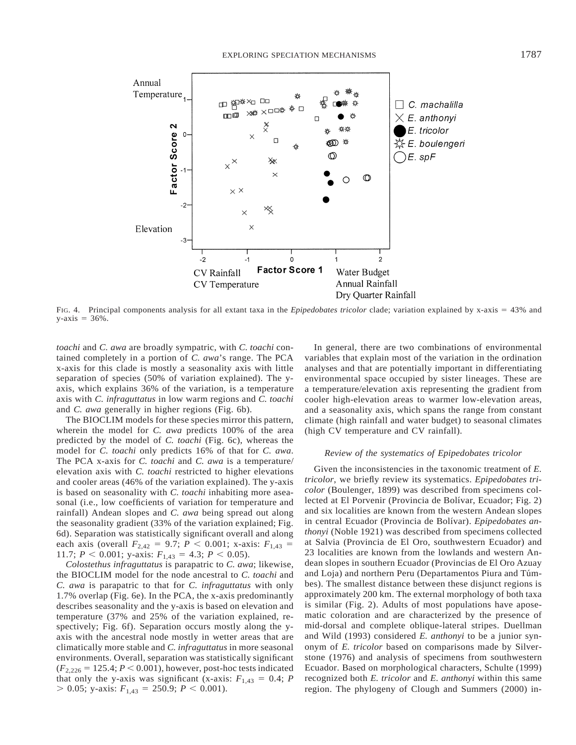

FIG. 4. Principal components analysis for all extant taxa in the *Epipedobates tricolor* clade; variation explained by x-axis = 43% and  $y-axis = 36\%$ .

*toachi* and *C. awa* are broadly sympatric, with *C. toachi* contained completely in a portion of *C. awa*'s range. The PCA x-axis for this clade is mostly a seasonality axis with little separation of species (50% of variation explained). The yaxis, which explains 36% of the variation, is a temperature axis with *C. infraguttatus* in low warm regions and *C. toachi* and *C. awa* generally in higher regions (Fig. 6b).

The BIOCLIM models for these species mirror this pattern, wherein the model for *C. awa* predicts 100% of the area predicted by the model of *C. toachi* (Fig. 6c), whereas the model for *C. toachi* only predicts 16% of that for *C. awa*. The PCA x-axis for *C. toachi* and *C. awa* is a temperature/ elevation axis with *C. toachi* restricted to higher elevations and cooler areas (46% of the variation explained). The y-axis is based on seasonality with *C. toachi* inhabiting more aseasonal (i.e., low coefficients of variation for temperature and rainfall) Andean slopes and *C. awa* being spread out along the seasonality gradient (33% of the variation explained; Fig. 6d). Separation was statistically significant overall and along each axis (overall  $F_{2,42} = 9.7$ ;  $P < 0.001$ ; x-axis:  $F_{1,43} =$ 11.7;  $P < 0.001$ ; y-axis:  $F_{1,43} = 4.3$ ;  $P < 0.05$ ).

*Colostethus infraguttatus* is parapatric to *C. awa*; likewise, the BIOCLIM model for the node ancestral to *C. toachi* and *C. awa* is parapatric to that for *C. infraguttatus* with only 1.7% overlap (Fig. 6e). In the PCA, the x-axis predominantly describes seasonality and the y-axis is based on elevation and temperature (37% and 25% of the variation explained, respectively; Fig. 6f). Separation occurs mostly along the yaxis with the ancestral node mostly in wetter areas that are climatically more stable and *C. infraguttatus* in more seasonal environments. Overall, separation was statistically significant  $(F_{2,226} = 125.4; P < 0.001)$ , however, post-hoc tests indicated that only the y-axis was significant (x-axis:  $F_{1,43} = 0.4$ ; *P*  $> 0.05$ ; y-axis:  $F_{1,43} = 250.9$ ;  $P < 0.001$ ).

In general, there are two combinations of environmental variables that explain most of the variation in the ordination analyses and that are potentially important in differentiating environmental space occupied by sister lineages. These are a temperature/elevation axis representing the gradient from cooler high-elevation areas to warmer low-elevation areas, and a seasonality axis, which spans the range from constant climate (high rainfall and water budget) to seasonal climates (high CV temperature and CV rainfall).

#### *Review of the systematics of Epipedobates tricolor*

Given the inconsistencies in the taxonomic treatment of *E. tricolor*, we briefly review its systematics. *Epipedobates tricolor* (Boulenger, 1899) was described from specimens collected at El Porvenir (Provincia de Bolívar, Ecuador; Fig. 2) and six localities are known from the western Andean slopes in central Ecuador (Provincia de Bolívar). *Epipedobates anthonyi* (Noble 1921) was described from specimens collected at Salvia (Provincia de El Oro, southwestern Ecuador) and 23 localities are known from the lowlands and western Andean slopes in southern Ecuador (Provincias de El Oro Azuay and Loja) and northern Peru (Departamentos Piura and Túmbes). The smallest distance between these disjunct regions is approximately 200 km. The external morphology of both taxa is similar (Fig. 2). Adults of most populations have aposematic coloration and are characterized by the presence of mid-dorsal and complete oblique-lateral stripes. Duellman and Wild (1993) considered *E. anthonyi* to be a junior synonym of *E. tricolor* based on comparisons made by Silverstone (1976) and analysis of specimens from southwestern Ecuador. Based on morphological characters, Schulte (1999) recognized both *E. tricolor* and *E. anthonyi* within this same region. The phylogeny of Clough and Summers (2000) in-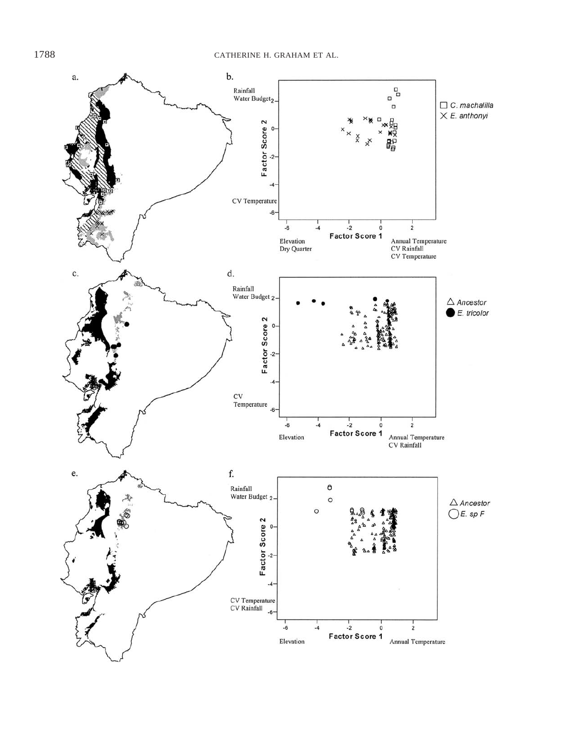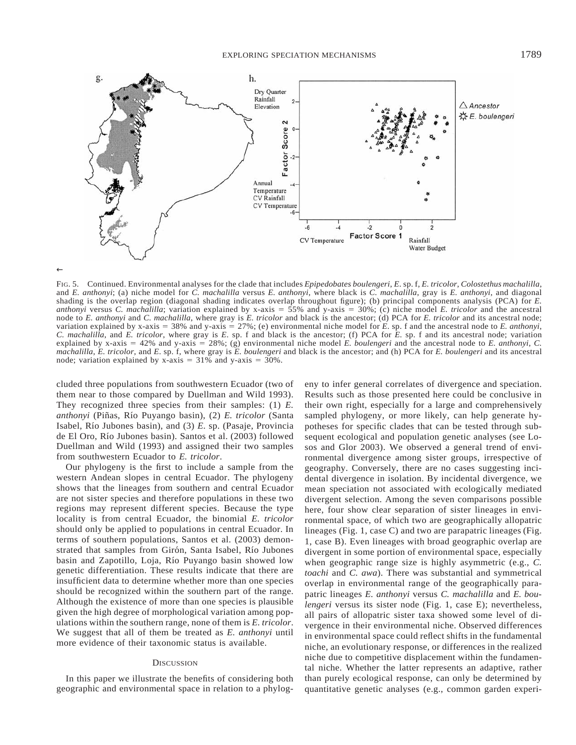

 $\cdot$ <sub>2</sub>

Factor Score 1

 $\Omega$ 

 $\overline{2}$ 

Rainfall Water Budget

←

g.

FIG. 5. Continued. Environmental analyses for the clade that includes *Epipedobates boulengeri*, *E*. sp. f, *E. tricolor*, *Colostethus machalilla*, and *E. anthonyi*; (a) niche model for *C. machalilla* versus *E. anthonyi*, where black is *C. machalilla*, gray is *E. anthonyi*, and diagonal shading is the overlap region (diagonal shading indicates overlap throughout figure); (b) principal components analysis (PCA) for *E. anthonyi* versus *C. machalilla*; variation explained by x-axis =  $55\%$  and y-axis =  $30\%$ ; (c) niche model *E. tricolor* and the ancestral node to *E. anthonyi* and *C. machalilla*, where gray is *E. tricolor* and black is the ancestor; (d) PCA for *E. tricolor* and its ancestral node; variation explained by x-axis =  $38\%$  and y-axis =  $27\%$ ; (e) environmental niche model for *E*. sp. f and the ancestral node to *E. anthonyi*, *C. machalilla*, and *E. tricolor*, where gray is *E*. sp. f and black is the ancestor; (f) PCA for *E*. sp. f and its ancestral node; variation explained by x-axis =  $42\%$  and y-axis =  $28\%$ ; (g) environmental niche model *E. boulengeri* and the ancestral node to *E. anthonyi*, *C. machalilla*, *E. tricolor*, and *E*. sp. f, where gray is *E. boulengeri* and black is the ancestor; and (h) PCA for *E. boulengeri* and its ancestral node; variation explained by x-axis  $= 31\%$  and y-axis  $= 30\%$ .

 $-6$ 

CV Temperature

-4

CV Rainfall CV Temperature

cluded three populations from southwestern Ecuador (two of them near to those compared by Duellman and Wild 1993). They recognized three species from their samples: (1) *E. anthonyi* (Pin˜as, Rı´o Puyango basin), (2) *E. tricolor* (Santa Isabel, Rı´o Jubones basin), and (3) *E*. sp. (Pasaje, Provincia de El Oro, Río Jubones basin). Santos et al. (2003) followed Duellman and Wild (1993) and assigned their two samples from southwestern Ecuador to *E. tricolor*.

Our phylogeny is the first to include a sample from the western Andean slopes in central Ecuador. The phylogeny shows that the lineages from southern and central Ecuador are not sister species and therefore populations in these two regions may represent different species. Because the type locality is from central Ecuador, the binomial *E. tricolor* should only be applied to populations in central Ecuador. In terms of southern populations, Santos et al. (2003) demonstrated that samples from Girón, Santa Isabel, Río Jubones basin and Zapotillo, Loja, Río Puyango basin showed low genetic differentiation. These results indicate that there are insufficient data to determine whether more than one species should be recognized within the southern part of the range. Although the existence of more than one species is plausible given the high degree of morphological variation among populations within the southern range, none of them is *E. tricolor*. We suggest that all of them be treated as *E. anthonyi* until more evidence of their taxonomic status is available.

## **DISCUSSION**

In this paper we illustrate the benefits of considering both geographic and environmental space in relation to a phylog-

eny to infer general correlates of divergence and speciation. Results such as those presented here could be conclusive in their own right, especially for a large and comprehensively sampled phylogeny, or more likely, can help generate hypotheses for specific clades that can be tested through subsequent ecological and population genetic analyses (see Losos and Glor 2003). We observed a general trend of environmental divergence among sister groups, irrespective of geography. Conversely, there are no cases suggesting incidental divergence in isolation. By incidental divergence, we mean speciation not associated with ecologically mediated divergent selection. Among the seven comparisons possible here, four show clear separation of sister lineages in environmental space, of which two are geographically allopatric lineages (Fig. 1, case C) and two are parapatric lineages (Fig. 1, case B). Even lineages with broad geographic overlap are divergent in some portion of environmental space, especially when geographic range size is highly asymmetric (e.g., *C. toachi* and *C. awa*). There was substantial and symmetrical overlap in environmental range of the geographically parapatric lineages *E. anthonyi* versus *C. machalilla* and *E. boulengeri* versus its sister node (Fig. 1, case E); nevertheless, all pairs of allopatric sister taxa showed some level of divergence in their environmental niche. Observed differences in environmental space could reflect shifts in the fundamental niche, an evolutionary response, or differences in the realized niche due to competitive displacement within the fundamental niche. Whether the latter represents an adaptive, rather than purely ecological response, can only be determined by quantitative genetic analyses (e.g., common garden experi-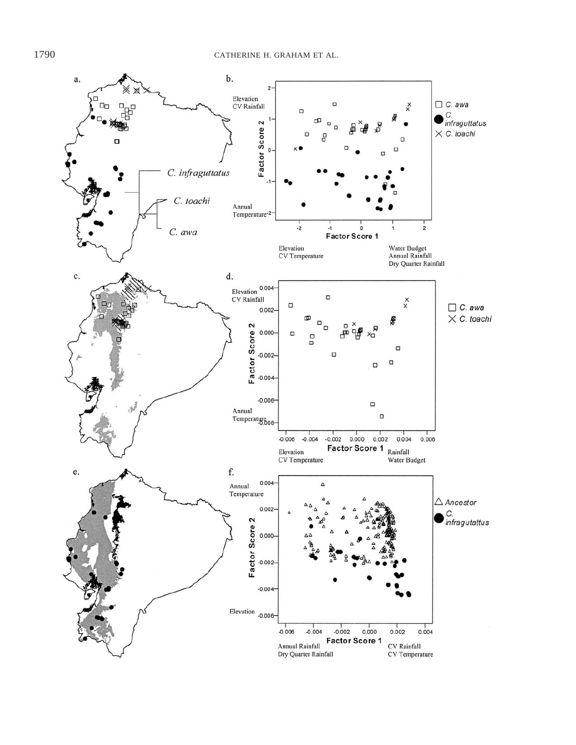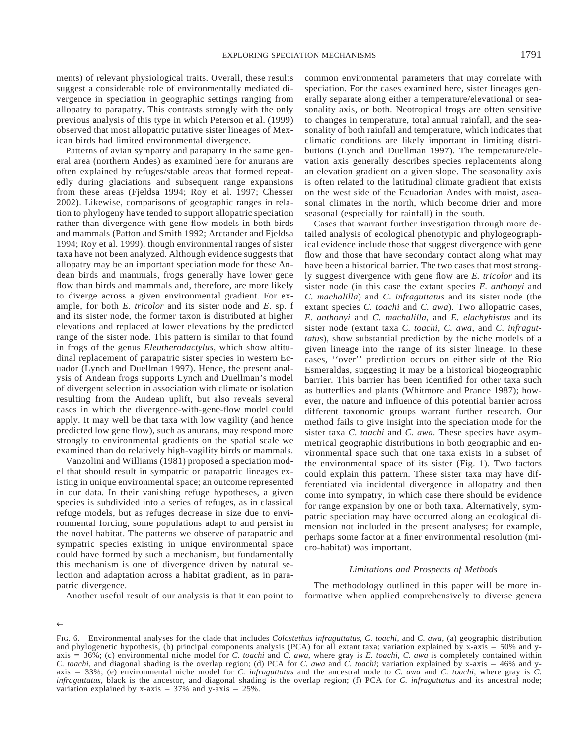ments) of relevant physiological traits. Overall, these results suggest a considerable role of environmentally mediated divergence in speciation in geographic settings ranging from allopatry to parapatry. This contrasts strongly with the only previous analysis of this type in which Peterson et al. (1999) observed that most allopatric putative sister lineages of Mexican birds had limited environmental divergence.

Patterns of avian sympatry and parapatry in the same general area (northern Andes) as examined here for anurans are often explained by refuges/stable areas that formed repeatedly during glaciations and subsequent range expansions from these areas (Fjeldsa 1994; Roy et al. 1997; Chesser 2002). Likewise, comparisons of geographic ranges in relation to phylogeny have tended to support allopatric speciation rather than divergence-with-gene-flow models in both birds and mammals (Patton and Smith 1992; Arctander and Fjeldsa 1994; Roy et al. 1999), though environmental ranges of sister taxa have not been analyzed. Although evidence suggests that allopatry may be an important speciation mode for these Andean birds and mammals, frogs generally have lower gene flow than birds and mammals and, therefore, are more likely to diverge across a given environmental gradient. For example, for both *E. tricolor* and its sister node and *E*. sp. f and its sister node, the former taxon is distributed at higher elevations and replaced at lower elevations by the predicted range of the sister node. This pattern is similar to that found in frogs of the genus *Eleutherodactylus*, which show altitudinal replacement of parapatric sister species in western Ecuador (Lynch and Duellman 1997). Hence, the present analysis of Andean frogs supports Lynch and Duellman's model of divergent selection in association with climate or isolation resulting from the Andean uplift, but also reveals several cases in which the divergence-with-gene-flow model could apply. It may well be that taxa with low vagility (and hence predicted low gene flow), such as anurans, may respond more strongly to environmental gradients on the spatial scale we examined than do relatively high-vagility birds or mammals.

Vanzolini and Williams (1981) proposed a speciation model that should result in sympatric or parapatric lineages existing in unique environmental space; an outcome represented in our data. In their vanishing refuge hypotheses, a given species is subdivided into a series of refuges, as in classical refuge models, but as refuges decrease in size due to environmental forcing, some populations adapt to and persist in the novel habitat. The patterns we observe of parapatric and sympatric species existing in unique environmental space could have formed by such a mechanism, but fundamentally this mechanism is one of divergence driven by natural selection and adaptation across a habitat gradient, as in parapatric divergence.

Another useful result of our analysis is that it can point to

common environmental parameters that may correlate with speciation. For the cases examined here, sister lineages generally separate along either a temperature/elevational or seasonality axis, or both. Neotropical frogs are often sensitive to changes in temperature, total annual rainfall, and the seasonality of both rainfall and temperature, which indicates that climatic conditions are likely important in limiting distributions (Lynch and Duellman 1997). The temperature/elevation axis generally describes species replacements along an elevation gradient on a given slope. The seasonality axis is often related to the latitudinal climate gradient that exists on the west side of the Ecuadorian Andes with moist, aseasonal climates in the north, which become drier and more seasonal (especially for rainfall) in the south.

Cases that warrant further investigation through more detailed analysis of ecological phenotypic and phylogeographical evidence include those that suggest divergence with gene flow and those that have secondary contact along what may have been a historical barrier. The two cases that most strongly suggest divergence with gene flow are *E. tricolor* and its sister node (in this case the extant species *E. anthonyi* and *C. machalilla*) and *C. infraguttatus* and its sister node (the extant species *C. toachi* and *C. awa*). Two allopatric cases, *E. anthonyi* and *C. machalilla*, and *E. elachyhistus* and its sister node (extant taxa *C. toachi*, *C. awa*, and *C. infraguttatus*), show substantial prediction by the niche models of a given lineage into the range of its sister lineage. In these cases, ''over'' prediction occurs on either side of the Rı´o Esmeraldas, suggesting it may be a historical biogeographic barrier. This barrier has been identified for other taxa such as butterflies and plants (Whitmore and Prance 1987); however, the nature and influence of this potential barrier across different taxonomic groups warrant further research. Our method fails to give insight into the speciation mode for the sister taxa *C. toachi* and *C. awa*. These species have asymmetrical geographic distributions in both geographic and environmental space such that one taxa exists in a subset of the environmental space of its sister (Fig. 1). Two factors could explain this pattern. These sister taxa may have differentiated via incidental divergence in allopatry and then come into sympatry, in which case there should be evidence for range expansion by one or both taxa. Alternatively, sympatric speciation may have occurred along an ecological dimension not included in the present analyses; for example, perhaps some factor at a finer environmental resolution (micro-habitat) was important.

#### *Limitations and Prospects of Methods*

The methodology outlined in this paper will be more informative when applied comprehensively to diverse genera

<sup>←</sup>

FIG. 6. Environmental analyses for the clade that includes *Colostethus infraguttatus*, *C. toachi*, and *C. awa*, (a) geographic distribution and phylogenetic hypothesis, (b) principal components analysis (PCA) for all extant taxa; variation explained by x-axis = 50% and yaxis 5 36%; (c) environmental niche model for *C. toachi* and *C. awa*, where gray is *E. toachi*, *C. awa* is completely contained within *C. toachi*, and diagonal shading is the overlap region; (d) PCA for *C. awa* and *C. toachi*; variation explained by x-axis = 46% and yaxis 5 33%; (e) environmental niche model for *C. infraguttatus* and the ancestral node to *C. awa* and *C. toachi*, where gray is *C. infraguttatus*, black is the ancestor, and diagonal shading is the overlap region; (f) PCA for *C. infraguttatus* and its ancestral node; variation explained by x-axis =  $37\%$  and y-axis =  $25\%$ .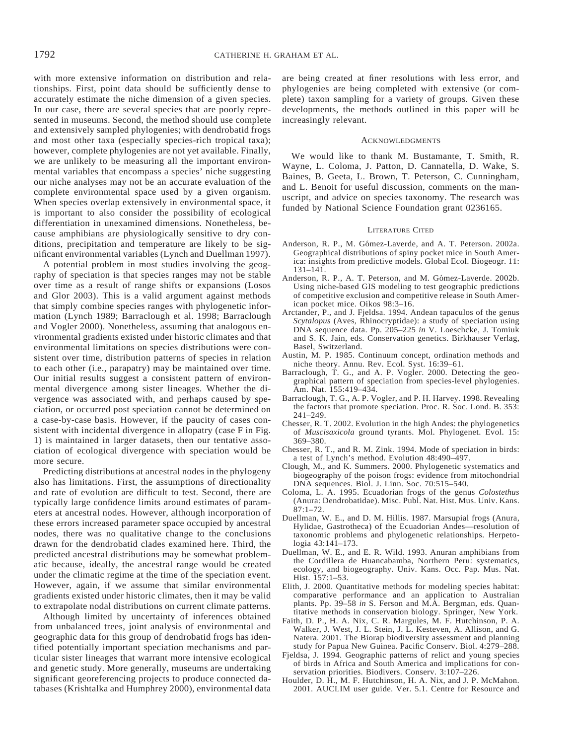with more extensive information on distribution and relationships. First, point data should be sufficiently dense to accurately estimate the niche dimension of a given species. In our case, there are several species that are poorly represented in museums. Second, the method should use complete and extensively sampled phylogenies; with dendrobatid frogs and most other taxa (especially species-rich tropical taxa); however, complete phylogenies are not yet available. Finally, we are unlikely to be measuring all the important environmental variables that encompass a species' niche suggesting our niche analyses may not be an accurate evaluation of the complete environmental space used by a given organism. When species overlap extensively in environmental space, it is important to also consider the possibility of ecological differentiation in unexamined dimensions. Nonetheless, because amphibians are physiologically sensitive to dry conditions, precipitation and temperature are likely to be significant environmental variables (Lynch and Duellman 1997).

A potential problem in most studies involving the geography of speciation is that species ranges may not be stable over time as a result of range shifts or expansions (Losos and Glor 2003). This is a valid argument against methods that simply combine species ranges with phylogenetic information (Lynch 1989; Barraclough et al. 1998; Barraclough and Vogler 2000). Nonetheless, assuming that analogous environmental gradients existed under historic climates and that environmental limitations on species distributions were consistent over time, distribution patterns of species in relation to each other (i.e., parapatry) may be maintained over time. Our initial results suggest a consistent pattern of environmental divergence among sister lineages. Whether the divergence was associated with, and perhaps caused by speciation, or occurred post speciation cannot be determined on a case-by-case basis. However, if the paucity of cases consistent with incidental divergence in allopatry (case F in Fig. 1) is maintained in larger datasets, then our tentative association of ecological divergence with speciation would be more secure.

Predicting distributions at ancestral nodes in the phylogeny also has limitations. First, the assumptions of directionality and rate of evolution are difficult to test. Second, there are typically large confidence limits around estimates of parameters at ancestral nodes. However, although incorporation of these errors increased parameter space occupied by ancestral nodes, there was no qualitative change to the conclusions drawn for the dendrobatid clades examined here. Third, the predicted ancestral distributions may be somewhat problematic because, ideally, the ancestral range would be created under the climatic regime at the time of the speciation event. However, again, if we assume that similar environmental gradients existed under historic climates, then it may be valid to extrapolate nodal distributions on current climate patterns.

Although limited by uncertainty of inferences obtained from unbalanced trees, joint analysis of environmental and geographic data for this group of dendrobatid frogs has identified potentially important speciation mechanisms and particular sister lineages that warrant more intensive ecological and genetic study. More generally, museums are undertaking significant georeferencing projects to produce connected databases (Krishtalka and Humphrey 2000), environmental data are being created at finer resolutions with less error, and phylogenies are being completed with extensive (or complete) taxon sampling for a variety of groups. Given these developments, the methods outlined in this paper will be increasingly relevant.

### **ACKNOWLEDGMENTS**

We would like to thank M. Bustamante, T. Smith, R. Wayne, L. Coloma, J. Patton, D. Cannatella, D. Wake, S. Baines, B. Geeta, L. Brown, T. Peterson, C. Cunningham, and L. Benoit for useful discussion, comments on the manuscript, and advice on species taxonomy. The research was funded by National Science Foundation grant 0236165.

#### LITERATURE CITED

- Anderson, R. P., M. Gómez-Laverde, and A. T. Peterson. 2002a. Geographical distributions of spiny pocket mice in South America: insights from predictive models. Global Ecol. Biogeogr. 11: 131–141.
- Anderson, R. P., A. T. Peterson, and M. Gómez-Laverde. 2002b. Using niche-based GIS modeling to test geographic predictions of competitive exclusion and competitive release in South American pocket mice. Oikos 98:3–16.
- Arctander, P., and J. Fjeldsa. 1994. Andean tapaculos of the genus *Scytalopus* (Aves, Rhinocryptidae): a study of speciation using DNA sequence data. Pp. 205–225 *in* V. Loeschcke, J. Tomiuk and S. K. Jain, eds. Conservation genetics. Birkhauser Verlag, Basel, Switzerland.
- Austin, M. P. 1985. Continuum concept, ordination methods and niche theory. Annu. Rev. Ecol. Syst. 16:39–61.
- Barraclough, T. G., and A. P. Vogler. 2000. Detecting the geographical pattern of speciation from species-level phylogenies. Am. Nat. 155:419–434.
- Barraclough, T. G., A. P. Vogler, and P. H. Harvey. 1998. Revealing the factors that promote speciation. Proc. R. Soc. Lond. B. 353: 241–249.
- Chesser, R. T. 2002. Evolution in the high Andes: the phylogenetics of *Muscisaxicola* ground tyrants. Mol. Phylogenet. Evol. 15: 369–380.
- Chesser, R. T., and R. M. Zink. 1994. Mode of speciation in birds: a test of Lynch's method. Evolution 48:490–497.
- Clough, M., and K. Summers. 2000. Phylogenetic systematics and biogeography of the poison frogs: evidence from mitochondrial DNA sequences. Biol. J. Linn. Soc. 70:515–540.
- Coloma, L. A. 1995. Ecuadorian frogs of the genus *Colostethus* (Anura: Dendrobatidae). Misc. Publ. Nat. Hist. Mus. Univ. Kans. 87:1–72.
- Duellman, W. E., and D. M. Hillis. 1987. Marsupial frogs (Anura, Hylidae, Gastrotheca) of the Ecuadorian Andes—resolution of taxonomic problems and phylogenetic relationships. Herpetologia 43:141–173.
- Duellman, W. E., and E. R. Wild. 1993. Anuran amphibians from the Cordillera de Huancabamba, Northern Peru: systematics, ecology, and biogeography. Univ. Kans. Occ. Pap. Mus. Nat. Hist. 157:1–53.
- Elith, J. 2000. Quantitative methods for modeling species habitat: comparative performance and an application to Australian plants. Pp. 39–58 *in* S. Ferson and M.A. Bergman, eds. Quantitative methods in conservation biology. Springer, New York.
- Faith, D. P., H. A. Nix, C. R. Margules, M. F. Hutchinson, P. A. Walker, J. West, J. L. Stein, J. L. Kesteven, A. Allison, and G. Natera. 2001. The Biorap biodiversity assessment and planning study for Papua New Guinea. Pacific Conserv. Biol. 4:279–288.
- Fjeldsa, J. 1994. Geographic patterns of relict and young species of birds in Africa and South America and implications for conservation priorities. Biodivers. Conserv. 3:107–226.
- Houlder, D. H., M. F. Hutchinson, H. A. Nix, and J. P. McMahon. 2001. AUCLIM user guide. Ver. 5.1. Centre for Resource and